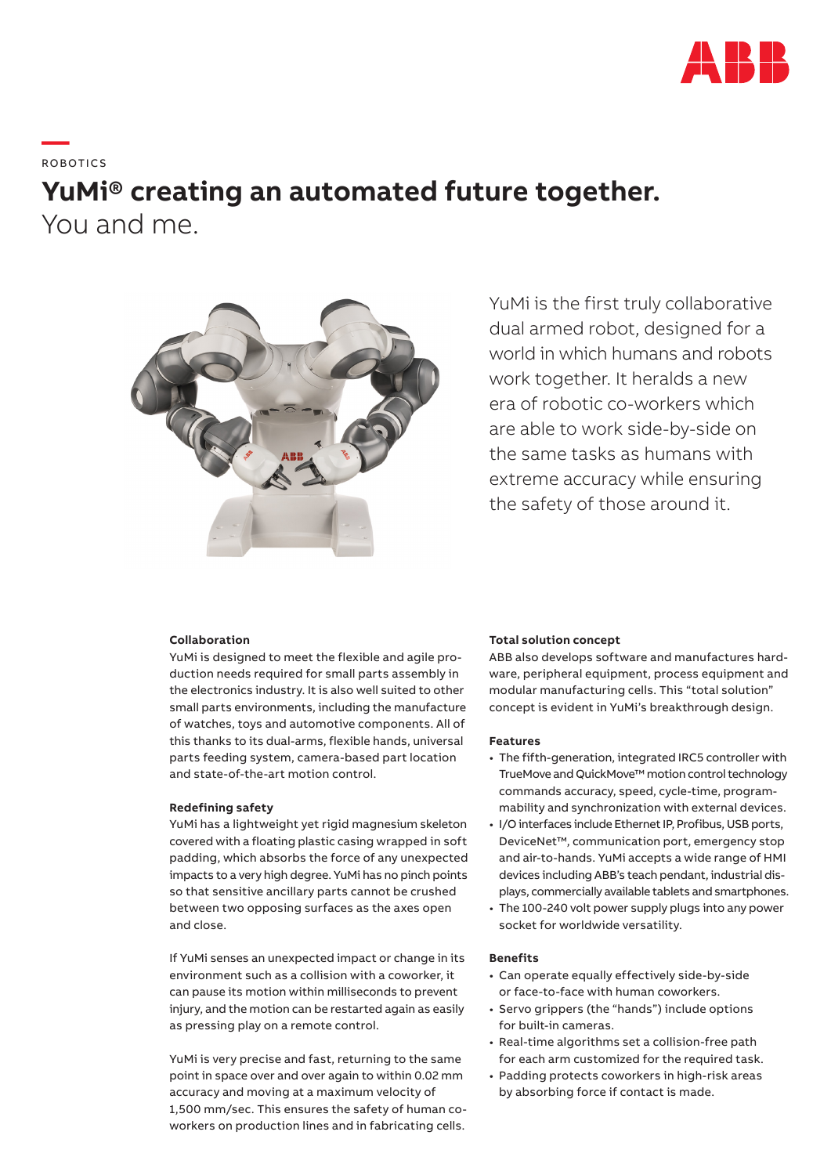

**— BOROTICS** 

# **YuMi® creating an automated future together.** You and me.



YuMi is the first truly collaborative dual armed robot, designed for a world in which humans and robots work together. It heralds a new era of robotic co-workers which are able to work side-by-side on the same tasks as humans with extreme accuracy while ensuring the safety of those around it.

# **Collaboration**

YuMi is designed to meet the flexible and agile production needs required for small parts assembly in the electronics industry. It is also well suited to other small parts environments, including the manufacture of watches, toys and automotive components. All of this thanks to its dual-arms, flexible hands, universal parts feeding system, camera-based part location and state-of-the-art motion control.

## **Redefining safety**

YuMi has a lightweight yet rigid magnesium skeleton covered with a floating plastic casing wrapped in soft padding, which absorbs the force of any unexpected impacts to a very high degree. YuMi has no pinch points so that sensitive ancillary parts cannot be crushed between two opposing surfaces as the axes open and close.

If YuMi senses an unexpected impact or change in its environment such as a collision with a coworker, it can pause its motion within milliseconds to prevent injury, and the motion can be restarted again as easily as pressing play on a remote control.

YuMi is very precise and fast, returning to the same point in space over and over again to within 0.02 mm accuracy and moving at a maximum velocity of 1,500 mm/sec. This ensures the safety of human coworkers on production lines and in fabricating cells.

# **Total solution concept**

ABB also develops software and manufactures hardware, peripheral equipment, process equipment and modular manufacturing cells. This "total solution" concept is evident in YuMi's breakthrough design.

## **Features**

- The fifth-generation, integrated IRC5 controller with TrueMove and QuickMove™ motion control technology commands accuracy, speed, cycle-time, programmability and synchronization with external devices.
- I/O interfaces include Ethernet IP, Profibus, USB ports, DeviceNet™, communication port, emergency stop and air-to-hands. YuMi accepts a wide range of HMI devices including ABB's teach pendant, industrial displays, commercially available tablets and smartphones.
- The 100-240 volt power supply plugs into any power socket for worldwide versatility.

### **Benefits**

- Can operate equally effectively side-by-side or face-to-face with human coworkers.
- Servo grippers (the "hands") include options for built-in cameras.
- Real-time algorithms set a collision-free path for each arm customized for the required task.
- Padding protects coworkers in high-risk areas by absorbing force if contact is made.